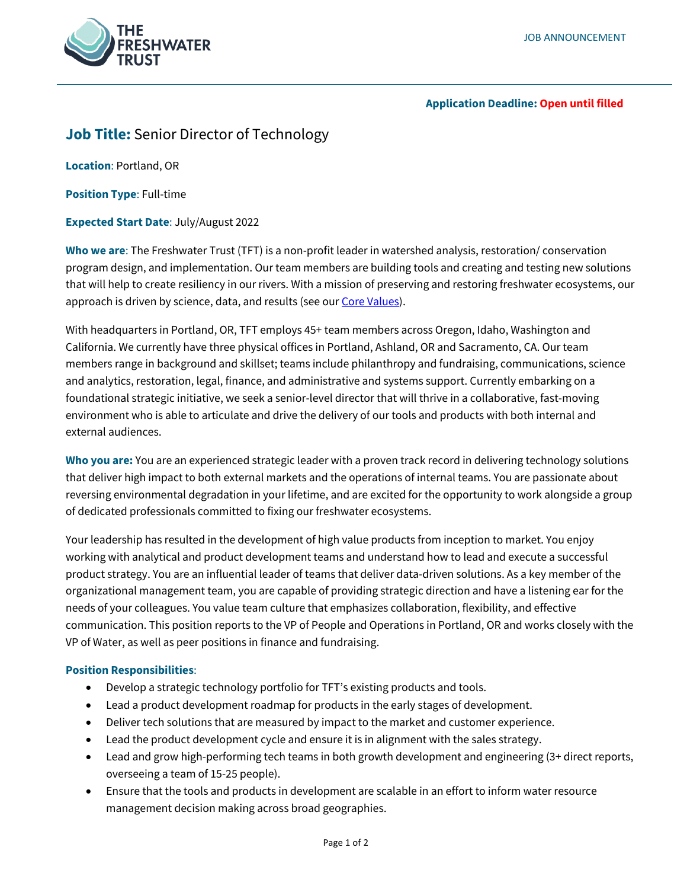

## **Application Deadline: Open until filled**

# **Job Title:** Senior Director of Technology

**Location**: Portland, OR

**Position Type**: Full-time

## **Expected Start Date**: July/August 2022

**Who we are**: The Freshwater Trust (TFT) is a non-profit leader in watershed analysis, restoration/ conservation program design, and implementation. Our team members are building tools and creating and testing new solutions that will help to create resiliency in our rivers. With a mission of preserving and restoring freshwater ecosystems, our approach is driven by science, data, and results (see ou[r Core Values\)](https://www.thefreshwatertrust.org/about-us/core-values/).

With headquarters in Portland, OR, TFT employs 45+ team members across Oregon, Idaho, Washington and California. We currently have three physical offices in Portland, Ashland, OR and Sacramento, CA. Our team members range in background and skillset; teams include philanthropy and fundraising, communications, science and analytics, restoration, legal, finance, and administrative and systems support. Currently embarking on a foundational strategic initiative, we seek a senior-level director that will thrive in a collaborative, fast-moving environment who is able to articulate and drive the delivery of our tools and products with both internal and external audiences.

**Who you are:** You are an experienced strategic leader with a proven track record in delivering technology solutions that deliver high impact to both external markets and the operations of internal teams. You are passionate about reversing environmental degradation in your lifetime, and are excited for the opportunity to work alongside a group of dedicated professionals committed to fixing our freshwater ecosystems.

Your leadership has resulted in the development of high value products from inception to market. You enjoy working with analytical and product development teams and understand how to lead and execute a successful product strategy. You are an influential leader of teams that deliver data-driven solutions. As a key member of the organizational management team, you are capable of providing strategic direction and have a listening ear for the needs of your colleagues. You value team culture that emphasizes collaboration, flexibility, and effective communication. This position reports to the VP of People and Operations in Portland, OR and works closely with the VP of Water, as well as peer positions in finance and fundraising.

## **Position Responsibilities**:

- Develop a strategic technology portfolio for TFT's existing products and tools.
- Lead a product development roadmap for products in the early stages of development.
- Deliver tech solutions that are measured by impact to the market and customer experience.
- Lead the product development cycle and ensure it is in alignment with the sales strategy.
- Lead and grow high-performing tech teams in both growth development and engineering (3+ direct reports, overseeing a team of 15-25 people).
- Ensure that the tools and products in development are scalable in an effort to inform water resource management decision making across broad geographies.